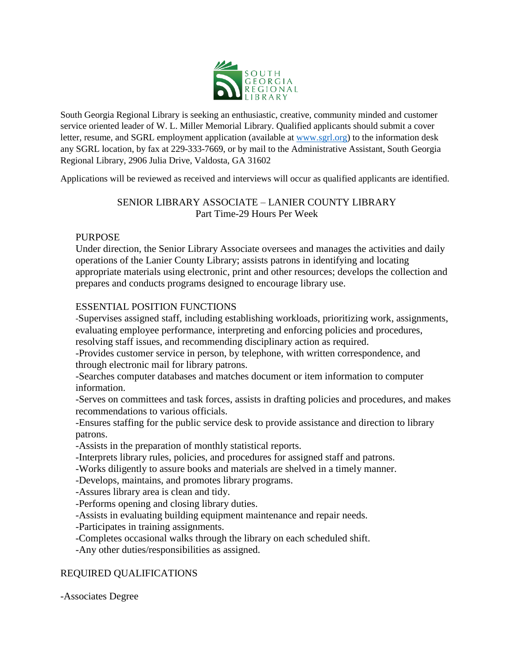

South Georgia Regional Library is seeking an enthusiastic, creative, community minded and customer service oriented leader of W. L. Miller Memorial Library. Qualified applicants should submit a cover letter, resume, and SGRL employment application (available at [www.sgrl.org\)](http://www.sgrl.org/) to the information desk any SGRL location, by fax at 229-333-7669, or by mail to the Administrative Assistant, South Georgia Regional Library, 2906 Julia Drive, Valdosta, GA 31602

Applications will be reviewed as received and interviews will occur as qualified applicants are identified.

#### SENIOR LIBRARY ASSOCIATE – LANIER COUNTY LIBRARY Part Time-29 Hours Per Week

# PURPOSE

Under direction, the Senior Library Associate oversees and manages the activities and daily operations of the Lanier County Library; assists patrons in identifying and locating appropriate materials using electronic, print and other resources; develops the collection and prepares and conducts programs designed to encourage library use.

# ESSENTIAL POSITION FUNCTIONS

-Supervises assigned staff, including establishing workloads, prioritizing work, assignments, evaluating employee performance, interpreting and enforcing policies and procedures, resolving staff issues, and recommending disciplinary action as required.

-Provides customer service in person, by telephone, with written correspondence, and through electronic mail for library patrons.

-Searches computer databases and matches document or item information to computer information.

-Serves on committees and task forces, assists in drafting policies and procedures, and makes recommendations to various officials.

-Ensures staffing for the public service desk to provide assistance and direction to library patrons.

-Assists in the preparation of monthly statistical reports.

-Interprets library rules, policies, and procedures for assigned staff and patrons.

-Works diligently to assure books and materials are shelved in a timely manner.

-Develops, maintains, and promotes library programs.

-Assures library area is clean and tidy.

-Performs opening and closing library duties.

-Assists in evaluating building equipment maintenance and repair needs.

-Participates in training assignments.

-Completes occasional walks through the library on each scheduled shift.

-Any other duties/responsibilities as assigned.

# REQUIRED QUALIFICATIONS

-Associates Degree